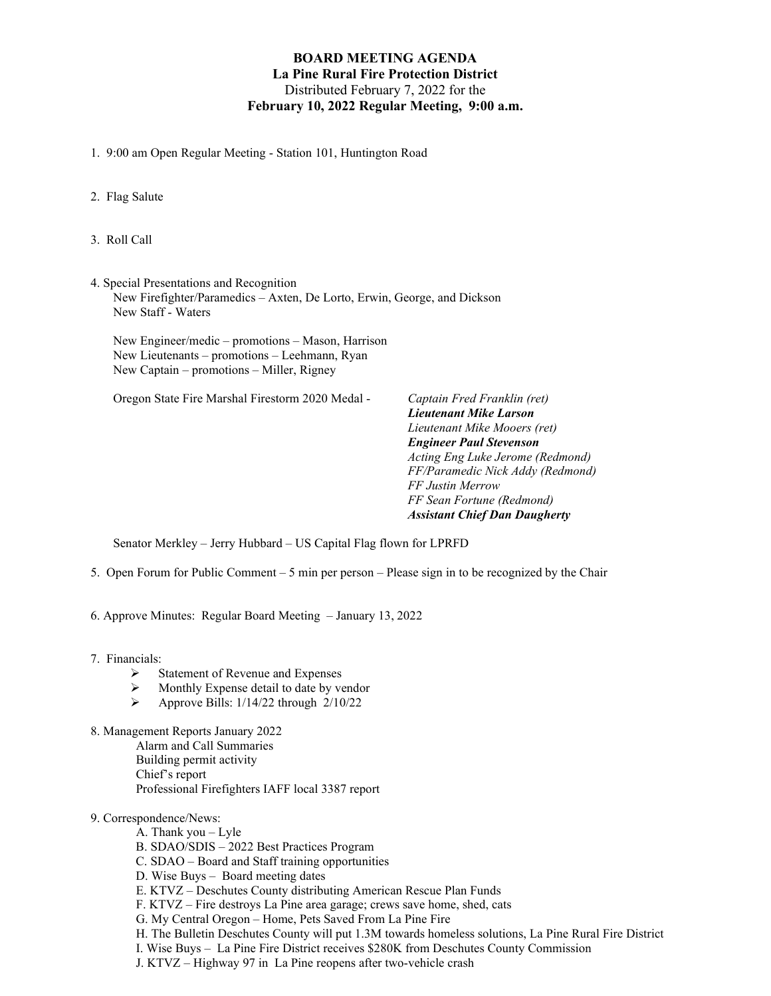## **BOARD MEETING AGENDA La Pine Rural Fire Protection District** Distributed February 7, 2022 for the **February 10, 2022 Regular Meeting, 9:00 a.m.**

- 1. 9:00 am Open Regular Meeting Station 101, Huntington Road
- 2. Flag Salute
- 3. Roll Call
- 4. Special Presentations and Recognition New Firefighter/Paramedics – Axten, De Lorto, Erwin, George, and Dickson New Staff - Waters

New Engineer/medic – promotions – Mason, Harrison New Lieutenants – promotions – Leehmann, Ryan New Captain – promotions – Miller, Rigney

Oregon State Fire Marshal Firestorm 2020 Medal - *Captain Fred Franklin (ret)*

*Lieutenant Mike Larson Lieutenant Mike Mooers (ret) Engineer Paul Stevenson Acting Eng Luke Jerome (Redmond) FF/Paramedic Nick Addy (Redmond) FF Justin Merrow FF Sean Fortune (Redmond) Assistant Chief Dan Daugherty*

Senator Merkley – Jerry Hubbard – US Capital Flag flown for LPRFD

- 5. Open Forum for Public Comment 5 min per person Please sign in to be recognized by the Chair
- 6. Approve Minutes: Regular Board Meeting January 13, 2022
- 7. Financials:
	- $\triangleright$  Statement of Revenue and Expenses
	- Monthly Expense detail to date by vendor
	- $\blacktriangleright$  Approve Bills: 1/14/22 through 2/10/22
- 8. Management Reports January 2022 Alarm and Call Summaries Building permit activity Chief's report Professional Firefighters IAFF local 3387 report

## 9. Correspondence/News:

- A. Thank you Lyle
- B. SDAO/SDIS 2022 Best Practices Program
- C. SDAO Board and Staff training opportunities
- D. Wise Buys Board meeting dates
- E. KTVZ Deschutes County distributing American Rescue Plan Funds
- F. KTVZ Fire destroys La Pine area garage; crews save home, shed, cats
- G. My Central Oregon Home, Pets Saved From La Pine Fire
- H. The Bulletin Deschutes County will put 1.3M towards homeless solutions, La Pine Rural Fire District
- I. Wise Buys La Pine Fire District receives \$280K from Deschutes County Commission
- J. KTVZ Highway 97 in La Pine reopens after two-vehicle crash